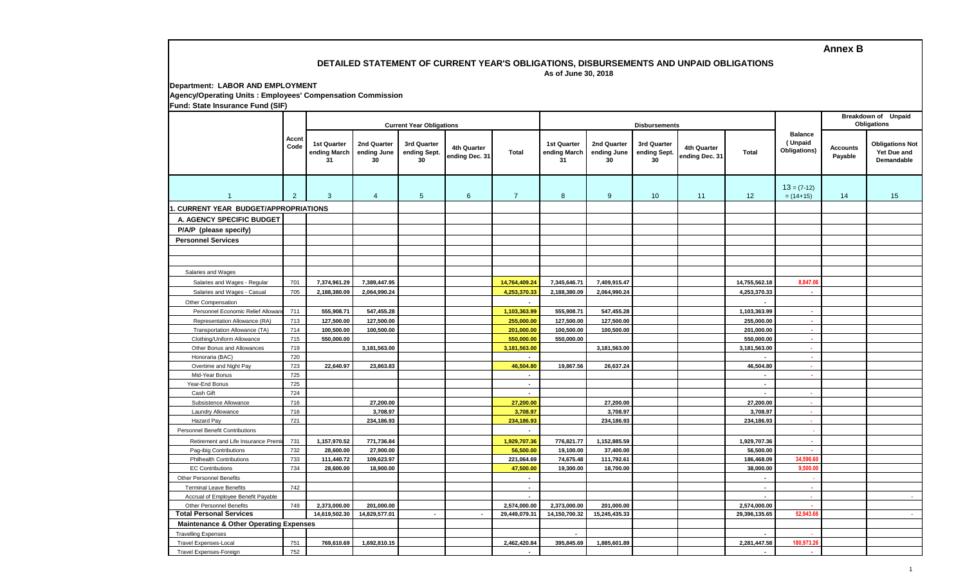## **Annex B**

## **DETAILED STATEMENT OF CURRENT YEAR'S OBLIGATIONS, DISBURSEMENTS AND UNPAID OBLIGATIONS**

 **As of June 30, 2018**

| Department: LABOR AND EMPLOYMENT                            |
|-------------------------------------------------------------|
| Agency/Operating Units : Employees' Compensation Commission |
| Fund: State Insurance Fund (SIF)                            |

|                                                                        |                |                                          |                                  | <b>Current Year Obligations</b>   |                               |                               |                                          |                                  | <b>Disbursements</b>              |                               |                                    |                                           | Breakdown of Unpaid<br><b>Obligations</b> |                                                            |
|------------------------------------------------------------------------|----------------|------------------------------------------|----------------------------------|-----------------------------------|-------------------------------|-------------------------------|------------------------------------------|----------------------------------|-----------------------------------|-------------------------------|------------------------------------|-------------------------------------------|-------------------------------------------|------------------------------------------------------------|
|                                                                        | Accnt<br>Code  | <b>1st Quarter</b><br>ending March<br>31 | 2nd Quarter<br>ending June<br>30 | 3rd Quarter<br>ending Sept.<br>30 | 4th Quarter<br>ending Dec. 31 | Total                         | <b>1st Quarter</b><br>ending March<br>31 | 2nd Quarter<br>ending June<br>30 | 3rd Quarter<br>ending Sept.<br>30 | 4th Quarter<br>ending Dec. 31 | <b>Total</b>                       | <b>Balance</b><br>(Unpaid<br>Obligations) | <b>Accounts</b><br>Payable                | <b>Obligations Not</b><br>Yet Due and<br><b>Demandable</b> |
| $\overline{1}$                                                         | $\overline{2}$ | $\mathbf{3}$                             | 4                                | $5\phantom{.0}$                   | 6                             | $\overline{7}$                | 8                                        | 9                                | 10                                | 11                            | 12                                 | $13 = (7-12)$<br>$= (14+15)$              | 14                                        | 15                                                         |
| . CURRENT YEAR BUDGET/APPROPRIATIONS                                   |                |                                          |                                  |                                   |                               |                               |                                          |                                  |                                   |                               |                                    |                                           |                                           |                                                            |
| A. AGENCY SPECIFIC BUDGET                                              |                |                                          |                                  |                                   |                               |                               |                                          |                                  |                                   |                               |                                    |                                           |                                           |                                                            |
| P/A/P (please specify)                                                 |                |                                          |                                  |                                   |                               |                               |                                          |                                  |                                   |                               |                                    |                                           |                                           |                                                            |
| <b>Personnel Services</b>                                              |                |                                          |                                  |                                   |                               |                               |                                          |                                  |                                   |                               |                                    |                                           |                                           |                                                            |
|                                                                        |                |                                          |                                  |                                   |                               |                               |                                          |                                  |                                   |                               |                                    |                                           |                                           |                                                            |
|                                                                        |                |                                          |                                  |                                   |                               |                               |                                          |                                  |                                   |                               |                                    |                                           |                                           |                                                            |
|                                                                        |                |                                          |                                  |                                   |                               |                               |                                          |                                  |                                   |                               |                                    |                                           |                                           |                                                            |
| Salaries and Wages                                                     | 701            |                                          |                                  |                                   |                               |                               |                                          |                                  |                                   |                               |                                    |                                           |                                           |                                                            |
| Salaries and Wages - Regular<br>Salaries and Wages - Casual            | 705            | 7,374,961.29<br>2,188,380.09             | 7,389,447.95<br>2,064,990.24     |                                   |                               | 14,764,409.24<br>4,253,370.33 | 7,345,646.71<br>2,188,380.09             | 7,409,915.47<br>2,064,990.24     |                                   |                               | 14,755,562.18<br>4,253,370.33      | 8,847.06<br>×                             |                                           |                                                            |
|                                                                        |                |                                          |                                  |                                   |                               | $\overline{a}$                |                                          |                                  |                                   |                               |                                    |                                           |                                           |                                                            |
| Other Compensation<br>Personnel Economic Relief Allowa                 | 711            | 555,908.71                               | 547,455.28                       |                                   |                               | 1,103,363.99                  | 555,908.71                               | 547,455.28                       |                                   |                               | 1,103,363.99                       | $\sim$                                    |                                           |                                                            |
| Representation Allowance (RA)                                          | 713            | 127,500.00                               | 127,500.00                       |                                   |                               | 255,000.00                    | 127,500.00                               | 127,500.00                       |                                   |                               | 255,000.00                         | $\sim$                                    |                                           |                                                            |
| Transportation Allowance (TA)                                          | 714            | 100,500.00                               | 100,500.00                       |                                   |                               | 201,000.00                    | 100,500.00                               | 100,500.00                       |                                   |                               | 201,000.00                         | ×.                                        |                                           |                                                            |
| Clothing/Uniform Allowance                                             | 715            | 550,000.00                               |                                  |                                   |                               | 550,000.00                    | 550,000.00                               |                                  |                                   |                               | 550,000.00                         | ×.                                        |                                           |                                                            |
| Other Bonus and Allowances                                             | 719            |                                          | 3,181,563.00                     |                                   |                               | 3,181,563.00                  |                                          | 3,181,563.00                     |                                   |                               | 3,181,563.00                       | $\sim$                                    |                                           |                                                            |
| Honoraria (BAC)                                                        | 720            |                                          |                                  |                                   |                               |                               |                                          |                                  |                                   |                               |                                    | $\mathbf{r}$                              |                                           |                                                            |
| Overtime and Night Pay                                                 | 723            | 22,640.97                                | 23,863.83                        |                                   |                               | 46,504.80                     | 19,867.56                                | 26,637.24                        |                                   |                               | 46,504.80                          | $\sim$                                    |                                           |                                                            |
| Mid-Year Bonus                                                         | 725            |                                          |                                  |                                   |                               | $\blacksquare$                |                                          |                                  |                                   |                               |                                    | ×.                                        |                                           |                                                            |
| Year-End Bonus                                                         | 725            |                                          |                                  |                                   |                               | $\overline{\phantom{a}}$      |                                          |                                  |                                   |                               | $\sim$                             |                                           |                                           |                                                            |
| Cash Gift                                                              | 724            |                                          |                                  |                                   |                               | $\blacksquare$                |                                          |                                  |                                   |                               | $\sim$                             | $\sim$                                    |                                           |                                                            |
| Subsistence Allowance                                                  | 716            |                                          | 27,200.00                        |                                   |                               | 27,200.00                     |                                          | 27,200.00                        |                                   |                               | 27,200.00                          | $\sim$                                    |                                           |                                                            |
| Laundry Allowance                                                      | 716            |                                          | 3,708.97                         |                                   |                               | 3,708.97                      |                                          | 3,708.97                         |                                   |                               | 3,708.97                           | <b>A</b>                                  |                                           |                                                            |
| Hazard Pay                                                             | 721            |                                          | 234,186.93                       |                                   |                               | 234,186.93                    |                                          | 234,186.93                       |                                   |                               | 234,186.93                         | $\sim$                                    |                                           |                                                            |
| <b>Personnel Benefit Contributions</b>                                 |                |                                          |                                  |                                   |                               | $\sim$                        |                                          |                                  |                                   |                               |                                    | $\sim$                                    |                                           |                                                            |
| Retirement and Life Insurance Premi                                    | 731            | 1,157,970.52                             | 771,736.84                       |                                   |                               | 1,929,707.36                  | 776,821.77                               | 1,152,885.59                     |                                   |                               | 1,929,707.36                       | $\mathbf{r}$                              |                                           |                                                            |
| Pag-ibig Contributions                                                 | 732            | 28,600.00                                | 27,900.00                        |                                   |                               | 56,500.00                     | 19,100.00                                | 37,400.00                        |                                   |                               | 56,500.00                          | $\sim$                                    |                                           |                                                            |
| <b>Philhealth Contributions</b>                                        | 733            | 111,440.72                               | 109,623.97                       |                                   |                               | 221,064.69                    | 74,675.48                                | 111,792.61                       |                                   |                               | 186,468.09                         | 34,596.6                                  |                                           |                                                            |
| <b>EC Contributions</b>                                                | 734            | 28,600.00                                | 18,900.00                        |                                   |                               | 47,500.00                     | 19,300.00                                | 18,700.00                        |                                   |                               | 38,000.00                          | 9,500.00                                  |                                           |                                                            |
| <b>Other Personnel Benefits</b>                                        |                |                                          |                                  |                                   |                               | $\sim$                        |                                          |                                  |                                   |                               | $\sim$                             |                                           |                                           |                                                            |
| <b>Terminal Leave Benefits</b>                                         | 742            |                                          |                                  |                                   |                               | $\blacksquare$                |                                          |                                  |                                   |                               | $\sim$<br>$\overline{\phantom{a}}$ | $\sim$<br>$\sim$                          |                                           | <b>Section</b>                                             |
| Accrual of Employee Benefit Payable<br><b>Other Personnel Benefits</b> | 749            |                                          |                                  |                                   |                               | $\sim$                        |                                          |                                  |                                   |                               |                                    | $\sim$                                    |                                           |                                                            |
| <b>Total Personal Services</b>                                         |                | 2,373,000.00<br>14,619,502.30            | 201,000.00<br>14,829,577.01      |                                   | $\sim$                        | 2,574,000.00<br>29,449,079.31 | 2,373,000.00<br>14,150,700.32            | 201,000.00<br>15,245,435.33      |                                   |                               | 2,574,000.00<br>29,396,135.65      | 52,943.66                                 |                                           | <b>Section</b>                                             |
| <b>Maintenance &amp; Other Operating Expenses</b>                      |                |                                          |                                  |                                   |                               |                               |                                          |                                  |                                   |                               |                                    |                                           |                                           |                                                            |
| <b>Travelling Expenses</b>                                             |                |                                          |                                  |                                   |                               |                               |                                          |                                  |                                   |                               |                                    |                                           |                                           |                                                            |
| <b>Travel Expenses-Local</b>                                           | 751            | 769,610.69                               | 1,692,810.15                     |                                   |                               | 2,462,420.84                  | 395,845.69                               | 1,885,601.89                     |                                   |                               | 2,281,447.58                       | 180,973.26                                |                                           |                                                            |
| <b>Travel Expenses-Foreign</b>                                         | 752            |                                          |                                  |                                   |                               | $\sim$                        |                                          |                                  |                                   |                               | $\overline{\phantom{a}}$           | ×.                                        |                                           |                                                            |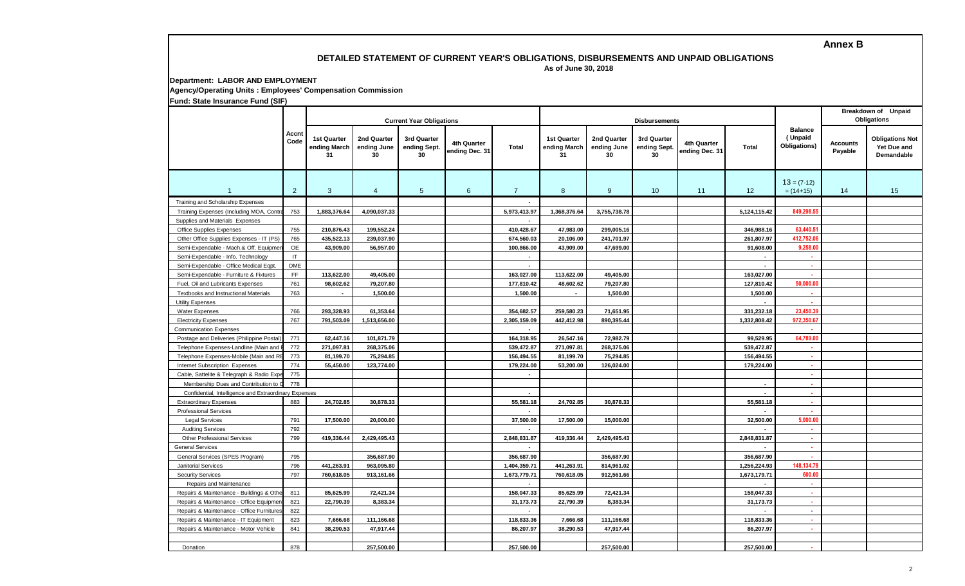**Annex B**

## **DETAILED STATEMENT OF CURRENT YEAR'S OBLIGATIONS, DISBURSEMENTS AND UNPAID OBLIGATIONS**

 **As of June 30, 2018**

**Department: LABOR AND EMPLOYMENT Agency/Operating Units : Employees' Compensation Commission**

**Fund: State Insurance Fund (SIF)**

|                                                       | Accnt<br>Code          |                                          | <b>Current Year Obligations</b>  |                                   |                               |                          | <b>Disbursements</b>              |                                  | <b>Breakdown of Unpaid</b><br><b>Obligations</b> |                               |                          |                                           |                            |                                                     |
|-------------------------------------------------------|------------------------|------------------------------------------|----------------------------------|-----------------------------------|-------------------------------|--------------------------|-----------------------------------|----------------------------------|--------------------------------------------------|-------------------------------|--------------------------|-------------------------------------------|----------------------------|-----------------------------------------------------|
|                                                       |                        | <b>1st Quarter</b><br>ending March<br>31 | 2nd Quarter<br>ending June<br>30 | 3rd Quarter<br>ending Sept.<br>30 | 4th Quarter<br>ending Dec. 31 | <b>Total</b>             | 1st Quarter<br>ending March<br>31 | 2nd Quarter<br>ending June<br>30 | 3rd Quarter<br>ending Sept.<br>30                | 4th Quarter<br>ending Dec. 31 | <b>Total</b>             | <b>Balance</b><br>(Unpaid<br>Obligations) | <b>Accounts</b><br>Payable | <b>Obligations Not</b><br>Yet Due and<br>Demandable |
| $\overline{1}$                                        | 2                      | 3                                        | $\overline{4}$                   | $5\phantom{.0}$                   | 6                             | $\overline{7}$           | 8                                 | 9                                | 10                                               | 11                            | 12                       | $13 = (7-12)$<br>$= (14+15)$              | 14                         | 15                                                  |
| Training and Scholarship Expenses                     |                        |                                          |                                  |                                   |                               |                          |                                   |                                  |                                                  |                               |                          |                                           |                            |                                                     |
| Training Expenses (Including MOA, Contr               | 753                    | 1,883,376.64                             | 4,090,037.33                     |                                   |                               | 5,973,413.97             | 1,368,376.64                      | 3,755,738.78                     |                                                  |                               | 5,124,115.42             | 849,298.5                                 |                            |                                                     |
| Supplies and Materials Expenses                       |                        |                                          |                                  |                                   |                               | $\overline{a}$           |                                   |                                  |                                                  |                               |                          |                                           |                            |                                                     |
| <b>Office Supplies Expenses</b>                       | 755                    | 210,876.43                               | 199,552.24                       |                                   |                               | 410,428.67               | 47,983.00                         | 299,005.16                       |                                                  |                               | 346,988.16               | 63.440.5                                  |                            |                                                     |
| Other Office Supplies Expenses - IT (PS)              | 765                    | 435,522.13                               | 239,037.90                       |                                   |                               | 674,560.03               | 20,106.00                         | 241,701.97                       |                                                  |                               | 261,807.97               | 412.752.06                                |                            |                                                     |
| Semi-Expendable - Mach.& Off. Equipme                 | OE                     | 43,909.00                                | 56,957.00                        |                                   |                               | 100,866.00               | 43,909.00                         | 47,699.00                        |                                                  |                               | 91,608.00                | 9,258.00                                  |                            |                                                     |
| Semi-Expendable - Info. Technology                    | $\mathsf{I}\mathsf{T}$ |                                          |                                  |                                   |                               | $\blacksquare$           |                                   |                                  |                                                  |                               |                          | ٠                                         |                            |                                                     |
| Semi-Expendable - Office Medical Eqpt                 | OME                    |                                          |                                  |                                   |                               | $\mathbf{r}$             |                                   |                                  |                                                  |                               | $\mathbf{r}$             | $\mathbf{r}$                              |                            |                                                     |
| Semi-Expendable - Furniture & Fixtures                | FF.                    | 113,622.00                               | 49,405.00                        |                                   |                               | 163,027.00               | 113,622.00                        | 49,405.00                        |                                                  |                               | 163,027.00               | $\mathbf{r}$                              |                            |                                                     |
| Fuel, Oil and Lubricants Expenses                     | 761                    | 98,602.62                                | 79,207.80                        |                                   |                               | 177,810.42               | 48,602.62                         | 79,207.80                        |                                                  |                               | 127,810.42               | 50,000.00                                 |                            |                                                     |
| Textbooks and Instructional Materials                 | 763                    | $\sim$                                   | 1,500.00                         |                                   |                               | 1,500.00                 | $\overline{\phantom{a}}$          | 1,500.00                         |                                                  |                               | 1,500.00                 | ×                                         |                            |                                                     |
| <b>Utility Expenses</b>                               |                        |                                          |                                  |                                   |                               |                          |                                   |                                  |                                                  |                               | $\sim$                   |                                           |                            |                                                     |
| Water Expenses                                        | 766                    | 293,328.93                               | 61,353.64                        |                                   |                               | 354,682.57               | 259,580.23                        | 71,651.95                        |                                                  |                               | 331,232.18               | 23,450.3                                  |                            |                                                     |
| <b>Electricity Expenses</b>                           | 767                    | 791,503.09                               | 1,513,656.00                     |                                   |                               | 2,305,159.09             | 442,412.98                        | 890,395.44                       |                                                  |                               | 1,332,808.42             | 972,350.67                                |                            |                                                     |
| <b>Communication Expenses</b>                         |                        |                                          |                                  |                                   |                               | $\sim$                   |                                   |                                  |                                                  |                               |                          |                                           |                            |                                                     |
| Postage and Deliveries (Philippine Postal)            | 771                    | 62,447.16                                | 101,871.79                       |                                   |                               | 164,318.95               | 26,547.16                         | 72,982.79                        |                                                  |                               | 99,529.95                | 64,789.00                                 |                            |                                                     |
| Telephone Expenses-Landline (Main and                 | 772                    | 271,097.81                               | 268,375.06                       |                                   |                               | 539,472.87               | 271,097.81                        | 268,375.06                       |                                                  |                               | 539,472.87               | 14.                                       |                            |                                                     |
| Telephone Expenses-Mobile (Main and RI                | 773                    | 81,199.70                                | 75,294.85                        |                                   |                               | 156,494.55               | 81,199.70                         | 75,294.85                        |                                                  |                               | 156,494.55               | ÷.                                        |                            |                                                     |
| Internet Subscription Expenses                        | 774                    | 55,450.00                                | 123,774.00                       |                                   |                               | 179,224.00               | 53,200.00                         | 126,024.00                       |                                                  |                               | 179,224.00               | 44                                        |                            |                                                     |
| Cable, Sattelite & Telegraph & Radio Exp              | 775                    |                                          |                                  |                                   |                               | $\overline{\phantom{a}}$ |                                   |                                  |                                                  |                               |                          | a.                                        |                            |                                                     |
| Membership Dues and Contribution to                   | 778                    |                                          |                                  |                                   |                               |                          |                                   |                                  |                                                  |                               | $\sim$                   | 14.                                       |                            |                                                     |
| Confidential, Intelligence and Extraordinary Expenses |                        |                                          |                                  |                                   |                               | $\overline{\phantom{a}}$ |                                   |                                  |                                                  |                               | $\sim$                   | ×.                                        |                            |                                                     |
| <b>Extraordinary Expenses</b>                         | 883                    | 24,702.85                                | 30,878.33                        |                                   |                               | 55,581.18                | 24,702.85                         | 30,878.33                        |                                                  |                               | 55,581.18                | ×                                         |                            |                                                     |
| <b>Professional Services</b>                          |                        |                                          |                                  |                                   |                               |                          |                                   |                                  |                                                  |                               |                          | $\sim$                                    |                            |                                                     |
| <b>Legal Services</b>                                 | 791                    | 17.500.00                                | 20.000.00                        |                                   |                               | 37.500.00                | 17,500.00                         | 15.000.00                        |                                                  |                               | 32.500.00                | 5.000.00                                  |                            |                                                     |
| <b>Auditing Services</b>                              | 792                    |                                          |                                  |                                   |                               |                          |                                   |                                  |                                                  |                               |                          | ×                                         |                            |                                                     |
| <b>Other Professional Services</b>                    | 799                    | 419,336.44                               | 2,429,495.43                     |                                   |                               | 2,848,831.87             | 419,336.44                        | 2,429,495.43                     |                                                  |                               | 2,848,831.87             | $\mathbf{r}$                              |                            |                                                     |
| <b>General Services</b>                               |                        |                                          |                                  |                                   |                               |                          |                                   |                                  |                                                  |                               |                          | $\mathbf{r}$                              |                            |                                                     |
| General Services (SPES Program)                       | 795                    |                                          | 356,687.90                       |                                   |                               | 356,687.90               |                                   | 356,687.90                       |                                                  |                               | 356,687.90               |                                           |                            |                                                     |
| <b>Janitorial Services</b>                            | 796                    | 441,263.91                               | 963,095.80                       |                                   |                               | 1,404,359.71             | 441,263.91                        | 814,961.02                       |                                                  |                               | 1,256,224.93             | 148,134.7                                 |                            |                                                     |
| <b>Security Services</b>                              | 797                    | 760,618.05                               | 913,161.66                       |                                   |                               | 1,673,779.71             | 760,618.05                        | 912,561.66                       |                                                  |                               | 1,673,179.71             | 600.00                                    |                            |                                                     |
| Repairs and Maintenance                               |                        |                                          |                                  |                                   |                               | $\sim$                   |                                   |                                  |                                                  |                               | $\overline{\phantom{a}}$ | ×.                                        |                            |                                                     |
| Repairs & Maintenance - Buildings & Othe              | 811                    | 85,625.99                                | 72,421.34                        |                                   |                               | 158,047.33               | 85,625.99                         | 72,421.34                        |                                                  |                               | 158,047.33               | ×.                                        |                            |                                                     |
| Repairs & Maintenance - Office Equipmer               | 821                    | 22,790.39                                | 8,383.34                         |                                   |                               | 31,173.73                | 22,790.39                         | 8,383.34                         |                                                  |                               | 31,173.73                | $\sim$                                    |                            |                                                     |
| Repairs & Maintenance - Office Furniture              | 822                    |                                          |                                  |                                   |                               | $\blacksquare$           |                                   |                                  |                                                  |                               | $\sim$                   | $\sim$                                    |                            |                                                     |
| Repairs & Maintenance - IT Equipment                  | 823                    | 7,666.68                                 | 111,166.68                       |                                   |                               | 118,833.36               | 7,666.68                          | 111,166.68                       |                                                  |                               | 118,833.36               | $\sim$                                    |                            |                                                     |
| Repairs & Maintenance - Motor Vehicle                 | 841                    | 38,290.53                                | 47,917.44                        |                                   |                               | 86,207.97                | 38,290.53                         | 47,917.44                        |                                                  |                               | 86,207.97                | $\mathbf{r}$                              |                            |                                                     |
|                                                       |                        |                                          |                                  |                                   |                               |                          |                                   |                                  |                                                  |                               |                          |                                           |                            |                                                     |
| Donation                                              | 878                    |                                          | 257,500.00                       |                                   |                               | 257,500.00               |                                   | 257,500.00                       |                                                  |                               | 257,500.00               | $\sim$                                    |                            |                                                     |